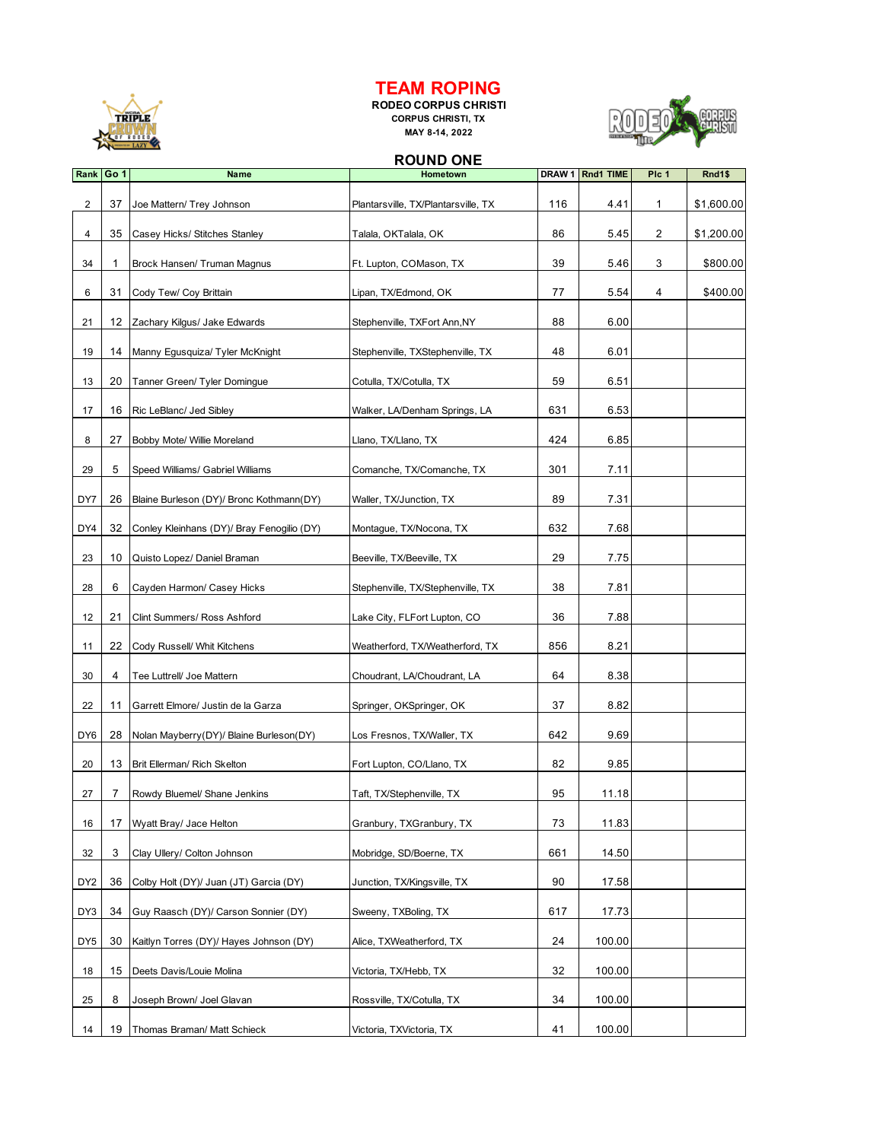

## **TEAM ROPING**

**RODEO CORPUS CHRISTI CORPUS CHRISTI, TX MAY 8-14, 2022**



## **ROUND ONE**

| Rank Go 1       |    | <b>Name</b>                                | Hometown                            | DRAW 1 | <b>Rnd1 TIME</b> | Plc 1 | Rnd1\$     |
|-----------------|----|--------------------------------------------|-------------------------------------|--------|------------------|-------|------------|
| $\overline{2}$  | 37 | Joe Mattern/ Trey Johnson                  | Plantarsville, TX/Plantarsville, TX | 116    | 4.41             | 1     | \$1,600.00 |
| 4               | 35 | Casey Hicks/ Stitches Stanley              | Talala, OKTalala, OK                | 86     | 5.45             | 2     | \$1,200.00 |
| 34              | 1  | Brock Hansen/ Truman Magnus                | Ft. Lupton, COMason, TX             | 39     | 5.46             | 3     | \$800.00   |
| 6               | 31 | Cody Tew/ Coy Brittain                     | Lipan, TX/Edmond, OK                | 77     | 5.54             | 4     | \$400.00   |
| 21              | 12 | Zachary Kilgus/ Jake Edwards               | Stephenville, TXFort Ann, NY        | 88     | 6.00             |       |            |
| 19              | 14 | Manny Egusquiza/ Tyler McKnight            | Stephenville, TXStephenville, TX    | 48     | 6.01             |       |            |
| 13              | 20 | Tanner Green/ Tyler Domingue               | Cotulla, TX/Cotulla, TX             | 59     | 6.51             |       |            |
| 17              | 16 | Ric LeBlanc/ Jed Sibley                    | Walker, LA/Denham Springs, LA       | 631    | 6.53             |       |            |
| 8               | 27 | Bobby Mote/ Willie Moreland                | Llano, TX/Llano, TX                 | 424    | 6.85             |       |            |
| 29              | 5  | Speed Williams/ Gabriel Williams           | Comanche, TX/Comanche, TX           | 301    | 7.11             |       |            |
| DY7             | 26 | Blaine Burleson (DY)/ Bronc Kothmann(DY)   | Waller, TX/Junction, TX             | 89     | 7.31             |       |            |
| DY4             | 32 | Conley Kleinhans (DY)/ Bray Fenogilio (DY) | Montague, TX/Nocona, TX             | 632    | 7.68             |       |            |
| 23              | 10 | Quisto Lopez/ Daniel Braman                | Beeville, TX/Beeville, TX           | 29     | 7.75             |       |            |
| 28              | 6  | Cayden Harmon/ Casey Hicks                 | Stephenville, TX/Stephenville, TX   | 38     | 7.81             |       |            |
| 12              | 21 | Clint Summers/ Ross Ashford                | Lake City, FLFort Lupton, CO        | 36     | 7.88             |       |            |
| 11              | 22 | Cody Russell/ Whit Kitchens                | Weatherford, TX/Weatherford, TX     | 856    | 8.21             |       |            |
| 30              | 4  | Tee Luttrell/ Joe Mattern                  | Choudrant, LA/Choudrant, LA         | 64     | 8.38             |       |            |
| 22              | 11 | Garrett Elmore/ Justin de la Garza         | Springer, OKSpringer, OK            | 37     | 8.82             |       |            |
| DY6             | 28 | Nolan Mayberry(DY)/ Blaine Burleson(DY)    | Los Fresnos, TX/Waller, TX          | 642    | 9.69             |       |            |
| 20              | 13 | Brit Ellerman/ Rich Skelton                | Fort Lupton, CO/Llano, TX           | 82     | 9.85             |       |            |
| 27              | 7  | Rowdy Bluemel/ Shane Jenkins               | Taft, TX/Stephenville, TX           | 95     | 11.18            |       |            |
| 16              | 17 | Wyatt Bray/ Jace Helton                    | Granbury, TXGranbury, TX            | 73     | 11.83            |       |            |
| 32              | 3  | Clay Ullery/ Colton Johnson                | Mobridge, SD/Boerne, TX             | 661    | 14.50            |       |            |
| DY <sub>2</sub> | 36 | Colby Holt (DY)/ Juan (JT) Garcia (DY)     | Junction, TX/Kingsville, TX         | 90     | 17.58            |       |            |
| DY3             | 34 | Guy Raasch (DY)/ Carson Sonnier (DY)       | Sweeny, TXBoling, TX                | 617    | 17.73            |       |            |
| DY5             | 30 | Kaitlyn Torres (DY)/ Hayes Johnson (DY)    | Alice, TXWeatherford, TX            | 24     | 100.00           |       |            |
| 18              | 15 | Deets Davis/Louie Molina                   | Victoria, TX/Hebb, TX               | 32     | 100.00           |       |            |
| 25              | 8  | Joseph Brown/ Joel Glavan                  | Rossville, TX/Cotulla, TX           | 34     | 100.00           |       |            |
| 14              | 19 | Thomas Braman/ Matt Schieck                | Victoria, TXVictoria, TX            | 41     | 100.00           |       |            |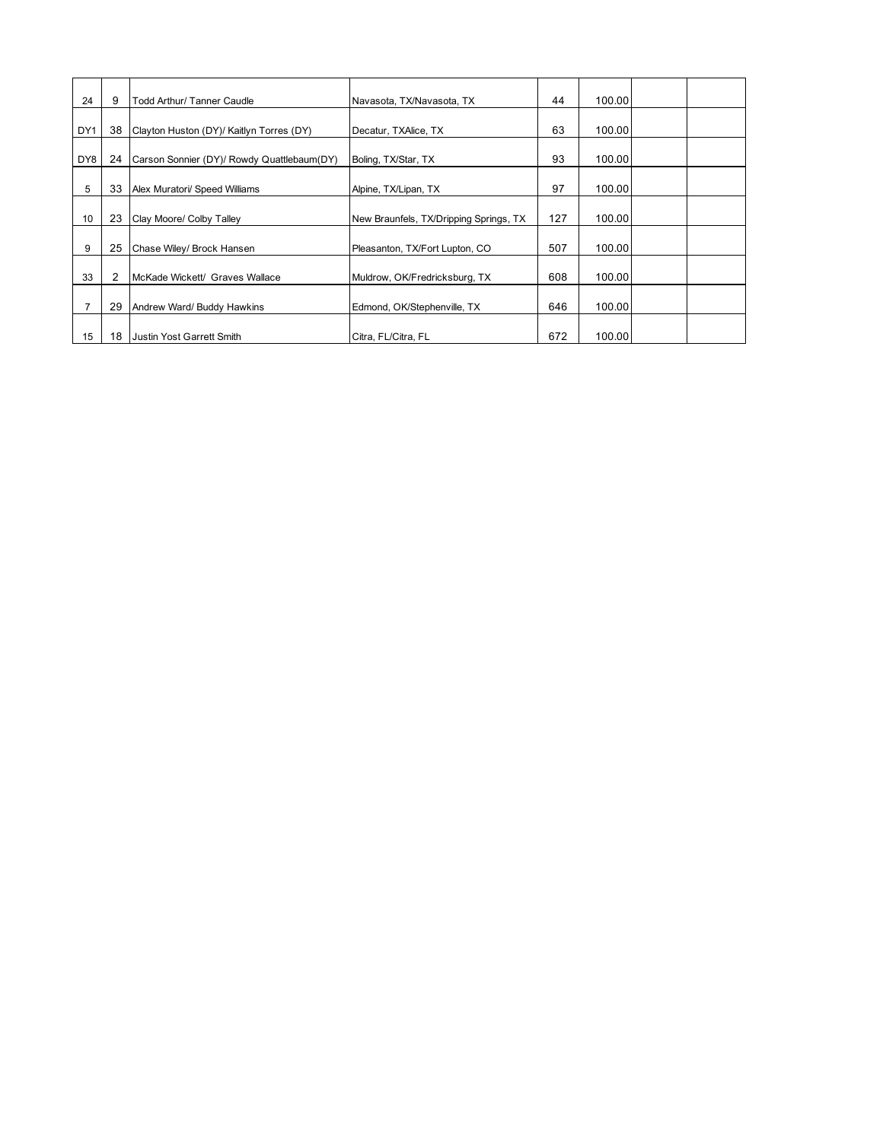| 24  | 9  | Todd Arthur/ Tanner Caudle                 | Navasota, TX/Navasota, TX              | 44  | 100.00 |  |
|-----|----|--------------------------------------------|----------------------------------------|-----|--------|--|
| DY1 | 38 | Clayton Huston (DY)/ Kaitlyn Torres (DY)   | Decatur, TXAlice, TX                   | 63  | 100.00 |  |
| DY8 | 24 | Carson Sonnier (DY)/ Rowdy Quattlebaum(DY) | Boling, TX/Star, TX                    | 93  | 100.00 |  |
| 5   | 33 | Alex Muratori/ Speed Williams              | Alpine, TX/Lipan, TX                   | 97  | 100.00 |  |
| 10  | 23 | Clay Moore/ Colby Talley                   | New Braunfels, TX/Dripping Springs, TX | 127 | 100.00 |  |
| 9   | 25 | Chase Wiley/ Brock Hansen                  | Pleasanton, TX/Fort Lupton, CO         | 507 | 100.00 |  |
| 33  | 2  | McKade Wickett/ Graves Wallace             | Muldrow, OK/Fredricksburg, TX          | 608 | 100.00 |  |
|     | 29 | Andrew Ward/ Buddy Hawkins                 | Edmond, OK/Stephenville, TX            | 646 | 100.00 |  |
| 15  | 18 | <b>Justin Yost Garrett Smith</b>           | Citra, FL/Citra, FL                    | 672 | 100.00 |  |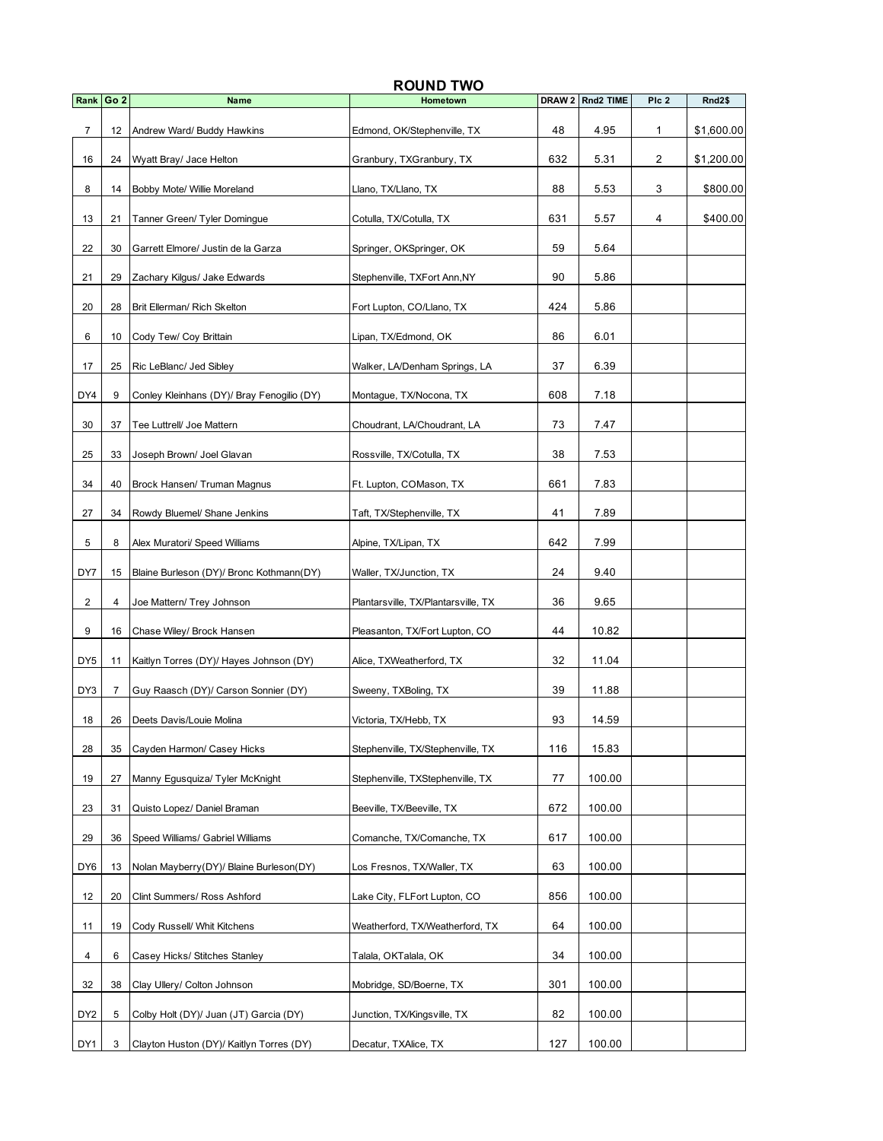|                 |                 |                                            | <b>ROUND TWO</b>                    | DRAW <sub>2</sub> |           |       | Rnd <sub>2\$</sub> |
|-----------------|-----------------|--------------------------------------------|-------------------------------------|-------------------|-----------|-------|--------------------|
| Rank            | Go <sub>2</sub> | <b>Name</b>                                | Hometown                            |                   | Rnd2 TIME | Plc 2 |                    |
| 7               | 12              | Andrew Ward/ Buddy Hawkins                 | Edmond, OK/Stephenville, TX         | 48                | 4.95      | 1     | \$1,600.00         |
| 16              | 24              | Wyatt Bray/ Jace Helton                    | Granbury, TXGranbury, TX            | 632               | 5.31      | 2     | \$1,200.00         |
| 8               | 14              | Bobby Mote/ Willie Moreland                | Llano, TX/Llano, TX                 | 88                | 5.53      | 3     | \$800.00           |
| 13              | 21              | Tanner Green/ Tyler Domingue               | Cotulla, TX/Cotulla, TX             | 631               | 5.57      | 4     | \$400.00           |
| 22              | 30              | Garrett Elmore/ Justin de la Garza         | Springer, OKSpringer, OK            | 59                | 5.64      |       |                    |
| 21              | 29              | Zachary Kilgus/ Jake Edwards               | Stephenville, TXFort Ann, NY        | 90                | 5.86      |       |                    |
| 20              | 28              | Brit Ellerman/ Rich Skelton                | Fort Lupton, CO/Llano, TX           | 424               | 5.86      |       |                    |
| 6               | 10              | Cody Tew/ Coy Brittain                     | Lipan, TX/Edmond, OK                | 86                | 6.01      |       |                    |
| 17              | 25              | Ric LeBlanc/ Jed Sibley                    | Walker, LA/Denham Springs, LA       | 37                | 6.39      |       |                    |
| DY4             | 9               | Conley Kleinhans (DY)/ Bray Fenogilio (DY) | Montague, TX/Nocona, TX             | 608               | 7.18      |       |                    |
| 30              | 37              | Tee Luttrell/ Joe Mattern                  | Choudrant, LA/Choudrant, LA         | 73                | 7.47      |       |                    |
| 25              | 33              | Joseph Brown/ Joel Glavan                  | Rossville, TX/Cotulla, TX           | 38                | 7.53      |       |                    |
| 34              | 40              | Brock Hansen/ Truman Magnus                | Ft. Lupton, COMason, TX             | 661               | 7.83      |       |                    |
| 27              | 34              | Rowdy Bluemel/ Shane Jenkins               | Taft, TX/Stephenville, TX           | 41                | 7.89      |       |                    |
| 5               | 8               | Alex Muratori/ Speed Williams              | Alpine, TX/Lipan, TX                | 642               | 7.99      |       |                    |
| DY7             | 15              | Blaine Burleson (DY)/ Bronc Kothmann(DY)   | Waller, TX/Junction, TX             | 24                | 9.40      |       |                    |
| 2               | 4               | Joe Mattern/ Trey Johnson                  | Plantarsville, TX/Plantarsville, TX | 36                | 9.65      |       |                    |
| 9               | 16              | Chase Wiley/ Brock Hansen                  | Pleasanton, TX/Fort Lupton, CO      | 44                | 10.82     |       |                    |
| DY <sub>5</sub> | 11              | Kaitlyn Torres (DY)/ Hayes Johnson (DY)    | Alice, TXWeatherford, TX            | 32                | 11.04     |       |                    |
| DY3             | 7               | Guy Raasch (DY)/ Carson Sonnier (DY)       | Sweeny, TXBoling, TX                | 39                | 11.88     |       |                    |
| 18              |                 | 26 Deets Davis/Louie Molina                | Victoria, TX/Hebb, TX               | 93                | 14.59     |       |                    |
| 28              | 35              | Cayden Harmon/ Casey Hicks                 | Stephenville, TX/Stephenville, TX   | 116               | 15.83     |       |                    |
| 19              | 27              | Manny Egusquiza/ Tyler McKnight            | Stephenville, TXStephenville, TX    | 77                | 100.00    |       |                    |
| 23              | 31              | Quisto Lopez/ Daniel Braman                | Beeville, TX/Beeville, TX           | 672               | 100.00    |       |                    |
| 29              | 36              | Speed Williams/ Gabriel Williams           | Comanche, TX/Comanche, TX           | 617               | 100.00    |       |                    |
| DY <sub>6</sub> | 13              | Nolan Mayberry(DY)/ Blaine Burleson(DY)    | Los Fresnos, TX/Waller, TX          | 63                | 100.00    |       |                    |
| 12              | 20              | Clint Summers/ Ross Ashford                | Lake City, FLFort Lupton, CO        | 856               | 100.00    |       |                    |
| 11              | 19              | Cody Russell/ Whit Kitchens                | Weatherford, TX/Weatherford, TX     | 64                | 100.00    |       |                    |
| 4               | 6               | Casey Hicks/ Stitches Stanley              | Talala, OKTalala, OK                | 34                | 100.00    |       |                    |
| 32              | 38              | Clay Ullery/ Colton Johnson                | Mobridge, SD/Boerne, TX             | 301               | 100.00    |       |                    |
| DY <sub>2</sub> | 5               | Colby Holt (DY)/ Juan (JT) Garcia (DY)     | Junction, TX/Kingsville, TX         | 82                | 100.00    |       |                    |
|                 |                 |                                            |                                     |                   |           |       |                    |
| DY1             | 3               | Clayton Huston (DY)/ Kaitlyn Torres (DY)   | Decatur, TXAlice, TX                | 127               | 100.00    |       |                    |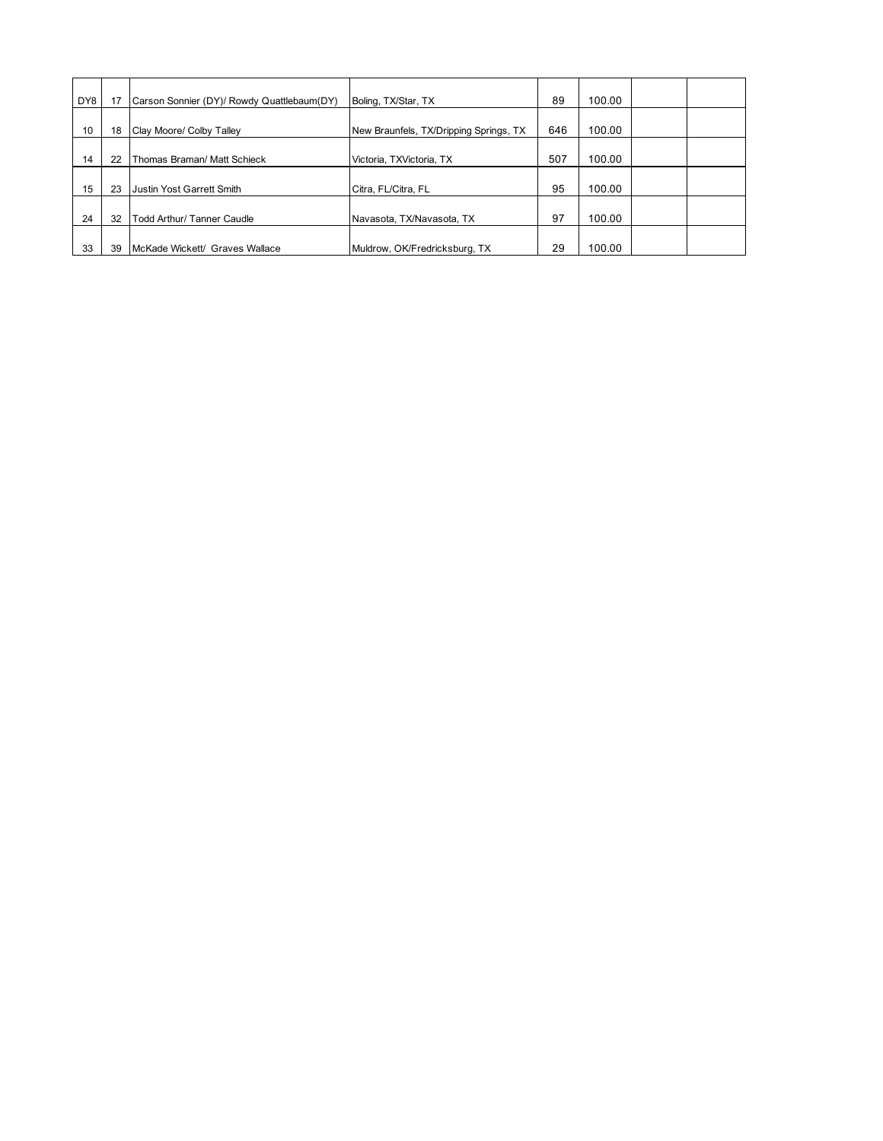| DY8 |    | Carson Sonnier (DY)/ Rowdy Quattlebaum(DY) | Boling, TX/Star, TX                    | 89  | 100.00 |  |
|-----|----|--------------------------------------------|----------------------------------------|-----|--------|--|
| 10  | 18 | Clay Moore/ Colby Talley                   | New Braunfels, TX/Dripping Springs, TX | 646 | 100.00 |  |
| 14  | 22 | Thomas Braman/ Matt Schieck                | Victoria, TXVictoria, TX               | 507 | 100.00 |  |
| 15  | 23 | Uustin Yost Garrett Smith                  | Citra, FL/Citra, FL                    | 95  | 100.00 |  |
| 24  | 32 | Todd Arthur/ Tanner Caudle                 | Navasota, TX/Navasota, TX              | 97  | 100.00 |  |
|     |    |                                            |                                        |     |        |  |
| 33  | 39 | McKade Wickett/ Graves Wallace             | Muldrow, OK/Fredricksburg, TX          | 29  | 100.00 |  |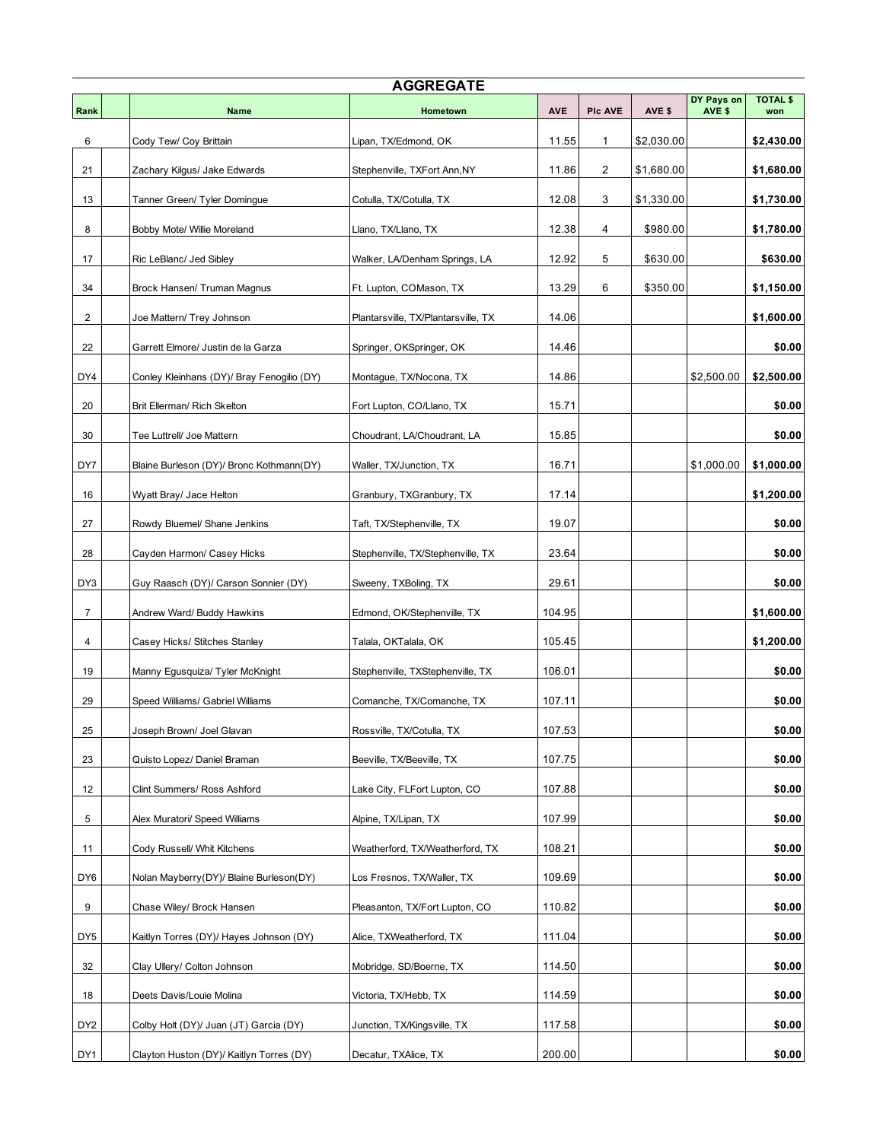| <b>AGGREGATE</b> |  |                                            |                                     |            |                |            |                      |                        |  |
|------------------|--|--------------------------------------------|-------------------------------------|------------|----------------|------------|----------------------|------------------------|--|
| Rank             |  | <b>Name</b>                                | Hometown                            | <b>AVE</b> | <b>PIc AVE</b> | AVE \$     | DY Pays on<br>AVE \$ | <b>TOTAL \$</b><br>won |  |
| 6                |  | Cody Tew/ Coy Brittain                     | Lipan, TX/Edmond, OK                | 11.55      | 1              | \$2,030.00 |                      | \$2,430.00             |  |
| 21               |  | Zachary Kilgus/ Jake Edwards               | Stephenville, TXFort Ann,NY         | 11.86      | 2              | \$1,680.00 |                      | \$1,680.00             |  |
| 13               |  | Tanner Green/ Tyler Domingue               | Cotulla, TX/Cotulla, TX             | 12.08      | 3              | \$1,330.00 |                      | \$1,730.00             |  |
| 8                |  | Bobby Mote/ Willie Moreland                | Llano, TX/Llano, TX                 | 12.38      | 4              | \$980.00   |                      | \$1,780.00             |  |
| 17               |  | Ric LeBlanc/ Jed Sibley                    | Walker, LA/Denham Springs, LA       | 12.92      | 5              | \$630.00   |                      | \$630.00               |  |
| 34               |  | Brock Hansen/ Truman Magnus                | Ft. Lupton, COMason, TX             | 13.29      | 6              | \$350.00   |                      | \$1,150.00             |  |
| 2                |  | Joe Mattern/ Trey Johnson                  | Plantarsville, TX/Plantarsville, TX | 14.06      |                |            |                      | \$1,600.00             |  |
| 22               |  | Garrett Elmore/ Justin de la Garza         | Springer, OKSpringer, OK            | 14.46      |                |            |                      | \$0.00                 |  |
| DY4              |  | Conley Kleinhans (DY)/ Bray Fenogilio (DY) | Montague, TX/Nocona, TX             | 14.86      |                |            | \$2,500.00           | \$2,500.00             |  |
| 20               |  | Brit Ellerman/ Rich Skelton                | Fort Lupton, CO/Llano, TX           | 15.71      |                |            |                      | \$0.00                 |  |
| 30               |  | Tee Luttrell/ Joe Mattern                  | Choudrant, LA/Choudrant, LA         | 15.85      |                |            |                      | \$0.00                 |  |
| DY7              |  | Blaine Burleson (DY)/ Bronc Kothmann(DY)   | Waller, TX/Junction, TX             | 16.71      |                |            | \$1,000.00           | \$1,000.00             |  |
| 16               |  | Wyatt Bray/ Jace Helton                    | Granbury, TXGranbury, TX            | 17.14      |                |            |                      | \$1,200.00             |  |
| 27               |  | Rowdy Bluemel/ Shane Jenkins               | Taft, TX/Stephenville, TX           | 19.07      |                |            |                      | \$0.00                 |  |
| 28               |  | Cayden Harmon/ Casey Hicks                 | Stephenville, TX/Stephenville, TX   | 23.64      |                |            |                      | \$0.00                 |  |
| DY3              |  | Guy Raasch (DY)/ Carson Sonnier (DY)       | Sweeny, TXBoling, TX                | 29.61      |                |            |                      | \$0.00                 |  |
| $\overline{7}$   |  | Andrew Ward/ Buddy Hawkins                 | Edmond, OK/Stephenville, TX         | 104.95     |                |            |                      | \$1,600.00             |  |
| 4                |  | Casey Hicks/ Stitches Stanley              | Talala, OKTalala, OK                | 105.45     |                |            |                      | \$1,200.00             |  |
| 19               |  | Manny Egusquiza/ Tyler McKnight            | Stephenville, TXStephenville, TX    | 106.01     |                |            |                      | \$0.00                 |  |
| 29               |  | Speed Williams/ Gabriel Williams           | Comanche, TX/Comanche, TX           | 107.11     |                |            |                      | \$0.00                 |  |
| 25               |  | Joseph Brown/ Joel Glavan                  | Rossville, TX/Cotulla, TX           | 107.53     |                |            |                      | \$0.00                 |  |
| 23               |  | Quisto Lopez/ Daniel Braman                | Beeville, TX/Beeville, TX           | 107.75     |                |            |                      | \$0.00                 |  |
| 12               |  | Clint Summers/ Ross Ashford                | Lake City, FLFort Lupton, CO        | 107.88     |                |            |                      | \$0.00                 |  |
| 5                |  | Alex Muratori/ Speed Williams              | Alpine, TX/Lipan, TX                | 107.99     |                |            |                      | \$0.00                 |  |
| 11               |  | Cody Russell/ Whit Kitchens                | Weatherford, TX/Weatherford, TX     | 108.21     |                |            |                      | \$0.00                 |  |
| DY6              |  | Nolan Mayberry(DY)/ Blaine Burleson(DY)    | Los Fresnos, TX/Waller, TX          | 109.69     |                |            |                      | \$0.00                 |  |
| 9                |  | Chase Wiley/ Brock Hansen                  | Pleasanton, TX/Fort Lupton, CO      | 110.82     |                |            |                      | \$0.00                 |  |
| DY5              |  | Kaitlyn Torres (DY)/ Hayes Johnson (DY)    | Alice, TXWeatherford, TX            | 111.04     |                |            |                      | \$0.00                 |  |
| 32               |  | Clay Ullery/ Colton Johnson                | Mobridge, SD/Boerne, TX             | 114.50     |                |            |                      | \$0.00                 |  |
| 18               |  | Deets Davis/Louie Molina                   | Victoria, TX/Hebb, TX               | 114.59     |                |            |                      | \$0.00                 |  |
| DY2              |  | Colby Holt (DY)/ Juan (JT) Garcia (DY)     | Junction, TX/Kingsville, TX         | 117.58     |                |            |                      | \$0.00                 |  |
| DY1              |  | Clayton Huston (DY)/ Kaitlyn Torres (DY)   | Decatur, TXAlice, TX                | 200.00     |                |            |                      | \$0.00                 |  |